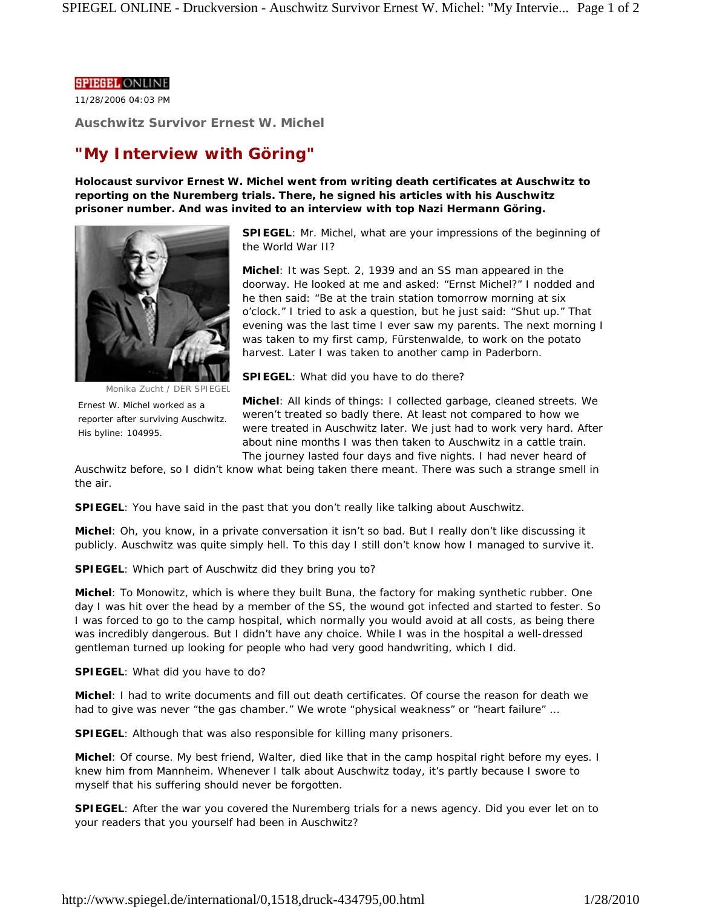## **SPIEGEL ONLINE**

11/28/2006 04:03 PM

**Auschwitz Survivor Ernest W. Michel**

## **"My Interview with Göring"**

**Holocaust survivor Ernest W. Michel went from writing death certificates at Auschwitz to reporting on the Nuremberg trials. There, he signed his articles with his Auschwitz prisoner number. And was invited to an interview with top Nazi Hermann Göring.**



Monika Zucht / DER SPIEGEL

Ernest W. Michel worked as a reporter after surviving Auschwitz. His byline: 104995.

**SPIEGEL**: Mr. Michel, what are your impressions of the beginning of the World War II?

**Michel**: It was Sept. 2, 1939 and an SS man appeared in the doorway. He looked at me and asked: "Ernst Michel?" I nodded and he then said: "Be at the train station tomorrow morning at six o'clock." I tried to ask a question, but he just said: "Shut up." That evening was the last time I ever saw my parents. The next morning I was taken to my first camp, Fürstenwalde, to work on the potato harvest. Later I was taken to another camp in Paderborn.

**SPIEGEL**: What did you have to do there?

**Michel**: All kinds of things: I collected garbage, cleaned streets. We weren't treated so badly there. At least not compared to how we were treated in Auschwitz later. We just had to work very hard. After about nine months I was then taken to Auschwitz in a cattle train. The journey lasted four days and five nights. I had never heard of

Auschwitz before, so I didn't know what being taken there meant. There was such a strange smell in the air.

**SPIEGEL**: You have said in the past that you don't really like talking about Auschwitz.

**Michel**: Oh, you know, in a private conversation it isn't so bad. But I really don't like discussing it publicly. Auschwitz was quite simply hell. To this day I still don't know how I managed to survive it.

**SPIEGEL**: Which part of Auschwitz did they bring you to?

**Michel**: To Monowitz, which is where they built Buna, the factory for making synthetic rubber. One day I was hit over the head by a member of the SS, the wound got infected and started to fester. So I was forced to go to the camp hospital, which normally you would avoid at all costs, as being there was incredibly dangerous. But I didn't have any choice. While I was in the hospital a well-dressed gentleman turned up looking for people who had very good handwriting, which I did.

**SPIEGEL**: What did you have to do?

**Michel**: I had to write documents and fill out death certificates. Of course the reason for death we had to give was never "the gas chamber." We wrote "physical weakness" or "heart failure" ...

**SPIEGEL**: Although that was also responsible for killing many prisoners.

**Michel**: Of course. My best friend, Walter, died like that in the camp hospital right before my eyes. I knew him from Mannheim. Whenever I talk about Auschwitz today, it's partly because I swore to myself that his suffering should never be forgotten.

**SPIEGEL**: After the war you covered the Nuremberg trials for a news agency. Did you ever let on to your readers that you yourself had been in Auschwitz?